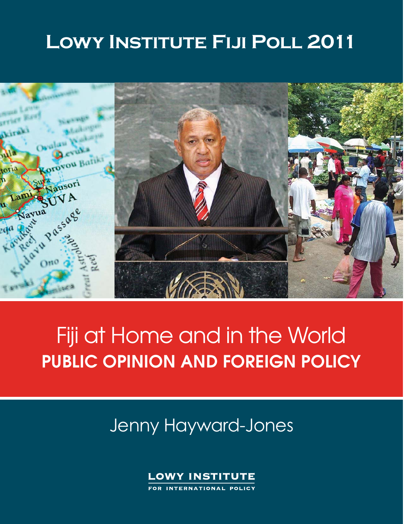# LOWY INSTITUTE FIJI POLL 2011



# Fiji at Home and in the World **PUBLIC OPINION AND FOREIGN POLICY**

# Jenny Hayward-Jones



FOR INTERNATIONAL POLICY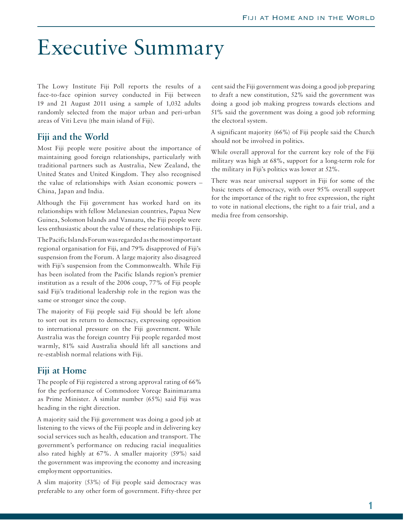# Executive Summary

The Lowy Institute Fiji Poll reports the results of a face-to-face opinion survey conducted in Fiji between 19 and 21 August 2011 using a sample of 1,032 adults randomly selected from the major urban and peri-urban areas of Viti Levu (the main island of Fiji).

## **Fiji and the World**

Most Fiji people were positive about the importance of maintaining good foreign relationships, particularly with traditional partners such as Australia, New Zealand, the United States and United Kingdom. They also recognised the value of relationships with Asian economic powers – China, Japan and India.

Although the Fiji government has worked hard on its relationships with fellow Melanesian countries, Papua New Guinea, Solomon Islands and Vanuatu, the Fiji people were less enthusiastic about the value of these relationships to Fiji.

The Pacific Islands Forum was regarded as the most important regional organisation for Fiji, and 79% disapproved of Fiji's suspension from the Forum. A large majority also disagreed with Fiji's suspension from the Commonwealth. While Fiji has been isolated from the Pacific Islands region's premier institution as a result of the 2006 coup, 77% of Fiji people said Fiji's traditional leadership role in the region was the same or stronger since the coup.

The majority of Fiji people said Fiji should be left alone to sort out its return to democracy, expressing opposition to international pressure on the Fiji government. While Australia was the foreign country Fiji people regarded most warmly, 81% said Australia should lift all sanctions and re-establish normal relations with Fiji.

## **Fiji at Home**

The people of Fiji registered a strong approval rating of 66% for the performance of Commodore Voreqe Bainimarama as Prime Minister. A similar number (65%) said Fiji was heading in the right direction.

A majority said the Fiji government was doing a good job at listening to the views of the Fiji people and in delivering key social services such as health, education and transport. The government's performance on reducing racial inequalities also rated highly at 67%. A smaller majority (59%) said the government was improving the economy and increasing employment opportunities.

A slim majority (53%) of Fiji people said democracy was preferable to any other form of government. Fifty-three per cent said the Fiji government was doing a good job preparing to draft a new constitution, 52% said the government was doing a good job making progress towards elections and 51% said the government was doing a good job reforming the electoral system.

A significant majority (66%) of Fiji people said the Church should not be involved in politics.

While overall approval for the current key role of the Fiji military was high at 68%, support for a long-term role for the military in Fiji's politics was lower at 52%.

There was near universal support in Fiji for some of the basic tenets of democracy, with over 95% overall support for the importance of the right to free expression, the right to vote in national elections, the right to a fair trial, and a media free from censorship.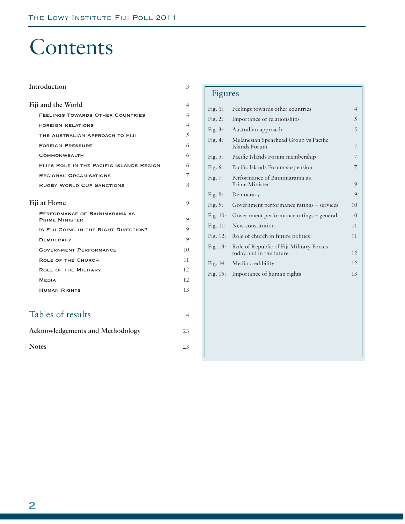# Contents

| Introduction                                           | 3  |
|--------------------------------------------------------|----|
| Fiji and the World                                     | 4  |
| <b>FEELINGS TOWARDS OTHER COUNTRIES</b>                | 4  |
| <b>FOREIGN RELATIONS</b>                               | 4  |
| THE AUSTRALIAN APPROACH TO FIJI                        | 5  |
| <b>FOREIGN PRESSURE</b>                                | 6  |
| <b>COMMONWEALTH</b>                                    | 6  |
| FIJI'S ROLE IN THE PACIFIC ISLANDS REGION              | 6  |
| <b>REGIONAL ORGANISATIONS</b>                          | 7  |
| <b>RUGBY WORLD CUP SANCTIONS</b>                       | 8  |
| Fiji at Home                                           | 9  |
| PERFORMANCE OF BAINIMARAMA AS<br><b>PRIME MINISTER</b> | 9  |
| IS FIJI GOING IN THE RIGHT DIRECTION?                  | 9  |
| <b>DEMOCRACY</b>                                       | 9  |
| <b>GOVERNMENT PERFORMANCE</b>                          | 10 |
| <b>ROLE OF THE CHURCH</b>                              | 11 |
| <b>ROLE OF THE MILITARY</b>                            | 12 |
| <b>MEDIA</b>                                           | 12 |
| <b>HUMAN RIGHTS</b>                                    | 13 |
|                                                        |    |
| Tables of results                                      | 14 |
| Acknowledgements and Methodology                       | 23 |
| <b>Notes</b>                                           | 23 |

# Figures

| Fig. $1$ :  | Feelings towards other countries                                    | $\overline{4}$ |
|-------------|---------------------------------------------------------------------|----------------|
| Fig. $2$ :  | Importance of relationships                                         | 5              |
| Fig. $3$ :  | Australian approach                                                 | 5              |
| Fig. $4$ :  | Melanesian Spearhead Group vs Pacific<br>Islands Forum              | 7              |
| Fig. $5$ :  | Pacific Islands Forum membership                                    | 7              |
| Fig. 6:     | Pacific Islands Forum suspension                                    | 7              |
| Fig. $7:$   | Performance of Bainimarama as<br>Prime Minister                     | 9              |
| Fig. $8$ :  | Democracy                                                           | 9              |
| Fig. $9:$   | Government performance ratings – services                           | 10             |
| Fig. $10$ : | Government performance ratings – general                            | 10             |
| Fig. $11$ : | New constitution                                                    | 11             |
| Fig. $12$ : | Role of church in future politics                                   | 11             |
| Fig. $13:$  | Role of Republic of Fiji Military Forces<br>today and in the future | 12             |
| Fig. $14$ : | Media credibility                                                   | 12             |
| Fig. $15$ : | Importance of human rights                                          | 13             |
|             |                                                                     |                |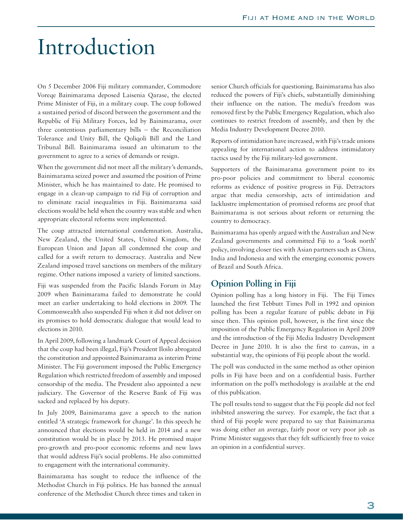# Introduction

On 5 December 2006 Fiji military commander, Commodore Voreqe Bainimarama deposed Laisenia Qarase, the elected Prime Minister of Fiji, in a military coup. The coup followed a sustained period of discord between the government and the Republic of Fiji Military Forces, led by Bainimarama, over three contentious parliamentary bills – the Reconciliation Tolerance and Unity Bill, the Qoliqoli Bill and the Land Tribunal Bill. Bainimarama issued an ultimatum to the government to agree to a series of demands or resign.

When the government did not meet all the military's demands, Bainimarama seized power and assumed the position of Prime Minister, which he has maintained to date. He promised to engage in a clean-up campaign to rid Fiji of corruption and to eliminate racial inequalities in Fiji. Bainimarama said elections would be held when the country was stable and when appropriate electoral reforms were implemented.

The coup attracted international condemnation. Australia, New Zealand, the United States, United Kingdom, the European Union and Japan all condemned the coup and called for a swift return to democracy. Australia and New Zealand imposed travel sanctions on members of the military regime. Other nations imposed a variety of limited sanctions.

Fiji was suspended from the Pacific Islands Forum in May 2009 when Bainimarama failed to demonstrate he could meet an earlier undertaking to hold elections in 2009. The Commonwealth also suspended Fiji when it did not deliver on its promises to hold democratic dialogue that would lead to elections in 2010.

In April 2009, following a landmark Court of Appeal decision that the coup had been illegal, Fiji's President Iloilo abrogated the constitution and appointed Bainimarama as interim Prime Minister. The Fiji government imposed the Public Emergency Regulation which restricted freedom of assembly and imposed censorship of the media. The President also appointed a new judiciary. The Governor of the Reserve Bank of Fiji was sacked and replaced by his deputy.

In July 2009, Bainimarama gave a speech to the nation entitled 'A strategic framework for change'. In this speech he announced that elections would be held in 2014 and a new constitution would be in place by 2013. He promised major pro-growth and pro-poor economic reforms and new laws that would address Fiji's social problems. He also committed to engagement with the international community.

Bainimarama has sought to reduce the influence of the Methodist Church in Fiji politics. He has banned the annual conference of the Methodist Church three times and taken in senior Church officials for questioning. Bainimarama has also reduced the powers of Fiji's chiefs, substantially diminishing their influence on the nation. The media's freedom was removed first by the Public Emergency Regulation, which also continues to restrict freedom of assembly, and then by the Media Industry Development Decree 2010.

Reports of intimidation have increased, with Fiji's trade unions appealing for international action to address intimidatory tactics used by the Fiji military-led government.

Supporters of the Bainimarama government point to its pro-poor policies and commitment to liberal economic reforms as evidence of positive progress in Fiji. Detractors argue that media censorship, acts of intimidation and lacklustre implementation of promised reforms are proof that Bainimarama is not serious about reform or returning the country to democracy.

Bainimarama has openly argued with the Australian and New Zealand governments and committed Fiji to a 'look north' policy, involving closer ties with Asian partners such as China, India and Indonesia and with the emerging economic powers of Brazil and South Africa.

## **Opinion Polling in Fiji**

Opinion polling has a long history in Fiji. The Fiji Times launched the first Tebbutt Times Poll in 1992 and opinion polling has been a regular feature of public debate in Fiji since then. This opinion poll, however, is the first since the imposition of the Public Emergency Regulation in April 2009 and the introduction of the Fiji Media Industry Development Decree in June 2010. It is also the first to canvas, in a substantial way, the opinions of Fiji people about the world.

The poll was conducted in the same method as other opinion polls in Fiji have been and on a confidential basis. Further information on the poll's methodology is available at the end of this publication.

The poll results tend to suggest that the Fiji people did not feel inhibited answering the survey. For example, the fact that a third of Fiji people were prepared to say that Bainimarama was doing either an average, fairly poor or very poor job as Prime Minister suggests that they felt sufficiently free to voice an opinion in a confidential survey.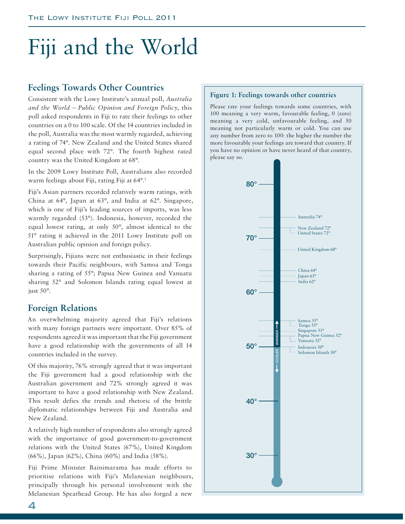# Fiji and the World

# **Feelings Towards Other Countries**

Consistent with the Lowy Institute's annual poll, *Australia and the World – Public Opinion and Foreign Policy*, this poll asked respondents in Fiji to rate their feelings to other countries on a 0 to 100 scale. Of the 14 countries included in the poll, Australia was the most warmly regarded, achieving a rating of 74°. New Zealand and the United States shared equal second place with 72°. The fourth highest rated country was the United Kingdom at 68°.

In the 2009 Lowy Institute Poll, Australians also recorded warm feelings about Fiji, rating Fiji at 64°.1

Fiji's Asian partners recorded relatively warm ratings, with China at 64°, Japan at 63°, and India at 62°. Singapore, which is one of Fiji's leading sources of imports, was less warmly regarded (53°). Indonesia, however, recorded the equal lowest rating, at only 50°, almost identical to the 51° rating it achieved in the 2011 Lowy Institute poll on Australian public opinion and foreign policy.

Surprisingly, Fijians were not enthusiastic in their feelings towards their Pacific neighbours, with Samoa and Tonga sharing a rating of 55°; Papua New Guinea and Vanuatu sharing 52° and Solomon Islands rating equal lowest at just 50°.

## **Foreign Relations**

An overwhelming majority agreed that Fiji's relations with many foreign partners were important. Over 85% of respondents agreed it was important that the Fiji government have a good relationship with the governments of all 14 countries included in the survey.

Of this majority, 76% strongly agreed that it was important the Fiji government had a good relationship with the Australian government and 72% strongly agreed it was important to have a good relationship with New Zealand. This result defies the trends and rhetoric of the brittle diplomatic relationships between Fiji and Australia and New Zealand.

A relatively high number of respondents also strongly agreed with the importance of good government-to-government relations with the United States (67%), United Kingdom (66%), Japan (62%), China (60%) and India (58%).

Fiji Prime Minister Bainimarama has made efforts to prioritise relations with Fiji's Melanesian neighbours, principally through his personal involvement with the Melanesian Spearhead Group. He has also forged a new

### **Figure 1: Feelings towards other countries**

Please rate your feelings towards some countries, with 100 meaning a very warm, favourable feeling, 0 (zero) meaning a very cold, unfavourable feeling, and 50 meaning not particularly warm or cold. You can use any number from zero to 100: the higher the number the more favourable your feelings are toward that country. If you have no opinion or have never heard of that country, please say so.

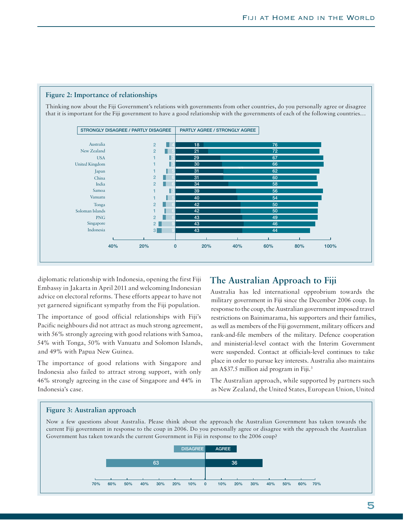

**Figure 2: Importance of relationships**

diplomatic relationship with Indonesia, opening the first Fiji Embassy in Jakarta in April 2011 and welcoming Indonesian advice on electoral reforms. These efforts appear to have not yet garnered significant sympathy from the Fiji population.

The importance of good official relationships with Fiji's Pacific neighbours did not attract as much strong agreement, with 56% strongly agreeing with good relations with Samoa, 54% with Tonga, 50% with Vanuatu and Solomon Islands, and 49% with Papua New Guinea.

The importance of good relations with Singapore and Indonesia also failed to attract strong support, with only 46% strongly agreeing in the case of Singapore and 44% in Indonesia's case.

# **The Australian Approach to Fiji**

Australia has led international opprobrium towards the military government in Fiji since the December 2006 coup. In response to the coup, the Australian government imposed travel restrictions on Bainimarama, his supporters and their families, as well as members of the Fiji government, military officers and rank-and-file members of the military. Defence cooperation and ministerial-level contact with the Interim Government were suspended. Contact at officials-level continues to take place in order to pursue key interests. Australia also maintains an A\$37.5 million aid program in Fiji.<sup>3</sup>

The Australian approach, while supported by partners such as New Zealand, the United States, European Union, United

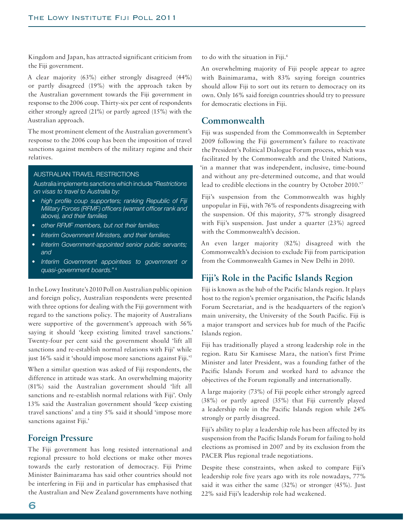Kingdom and Japan, has attracted significant criticism from the Fiji government.

A clear majority (63%) either strongly disagreed (44%) or partly disagreed (19%) with the approach taken by the Australian government towards the Fiji government in response to the 2006 coup. Thirty-six per cent of respondents either strongly agreed (21%) or partly agreed (15%) with the Australian approach.

The most prominent element of the Australian government's response to the 2006 coup has been the imposition of travel sanctions against members of the military regime and their relatives.

### AUSTRALIAN TRAVEL RESTRICTIONS

Australia implements sanctions which include *"Restrictions on visas to travel to Australia by:* 

- *high profile coup supporters; ranking Republic of Fiji Military Forces (RFMF) officers (warrant officer rank and above), and their families*
- *other RFMF members, but not their families;*
- *Interim Government Ministers, and their families;*
- *Interim Government-appointed senior public servants; and*
- *Interim Government appointees to government or quasi-government boards."* <sup>4</sup>

In the Lowy Institute's 2010 Poll on Australian public opinion and foreign policy, Australian respondents were presented with three options for dealing with the Fiji government with regard to the sanctions policy. The majority of Australians were supportive of the government's approach with 56% saying it should 'keep existing limited travel sanctions.' Twenty-four per cent said the government should 'lift all sanctions and re-establish normal relations with Fiji' while just 16% said it 'should impose more sanctions against Fiji.'5

When a similar question was asked of Fiji respondents, the difference in attitude was stark. An overwhelming majority (81%) said the Australian government should 'lift all sanctions and re-establish normal relations with Fiji'. Only 13% said the Australian government should 'keep existing travel sanctions' and a tiny 5% said it should 'impose more sanctions against Fiji.'

## **Foreign Pressure**

The Fiji government has long resisted international and regional pressure to hold elections or make other moves towards the early restoration of democracy. Fiji Prime Minister Bainimarama has said other countries should not be interfering in Fiji and in particular has emphasised that the Australian and New Zealand governments have nothing to do with the situation in Fiji.6

An overwhelming majority of Fiji people appear to agree with Bainimarama, with 83% saying foreign countries should allow Fiji to sort out its return to democracy on its own. Only 16% said foreign countries should try to pressure for democratic elections in Fiji.

### **Commonwealth**

Fiji was suspended from the Commonwealth in September 2009 following the Fiji government's failure to reactivate the President's Political Dialogue Forum process, which was facilitated by the Commonwealth and the United Nations, 'in a manner that was independent, inclusive, time-bound and without any pre-determined outcome, and that would lead to credible elections in the country by October 2010.'7

Fiji's suspension from the Commonwealth was highly unpopular in Fiji, with 76% of respondents disagreeing with the suspension. Of this majority, 57% strongly disagreed with Fiji's suspension. Just under a quarter (23%) agreed with the Commonwealth's decision.

An even larger majority (82%) disagreed with the Commonwealth's decision to exclude Fiji from participation from the Commonwealth Games in New Delhi in 2010.

# Fiji's Role in the Pacific Islands Region

Fiji is known as the hub of the Pacific Islands region. It plays host to the region's premier organisation, the Pacific Islands Forum Secretariat, and is the headquarters of the region's main university, the University of the South Pacific. Fiji is a major transport and services hub for much of the Pacific Islands region.

Fiji has traditionally played a strong leadership role in the region. Ratu Sir Kamisese Mara, the nation's first Prime Minister and later President, was a founding father of the Pacific Islands Forum and worked hard to advance the objectives of the Forum regionally and internationally.

A large majority (73%) of Fiji people either strongly agreed (38%) or partly agreed (35%) that Fiji currently played a leadership role in the Pacific Islands region while 24% strongly or partly disagreed.

Fiji's ability to play a leadership role has been affected by its suspension from the Pacific Islands Forum for failing to hold elections as promised in 2007 and by its exclusion from the PACER Plus regional trade negotiations.

Despite these constraints, when asked to compare Fiji's leadership role five years ago with its role nowadays, 77% said it was either the same (32%) or stronger (45%). Just 22% said Fiji's leadership role had weakened.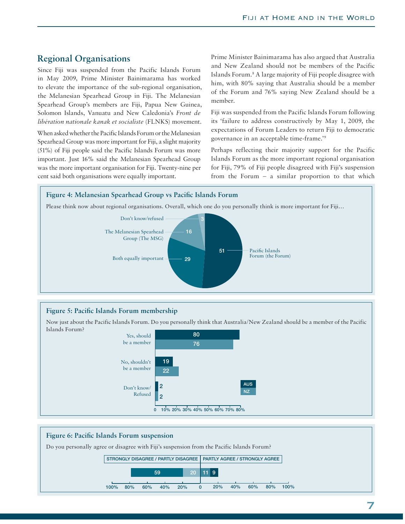# **Regional Organisations**

Since Fiji was suspended from the Pacific Islands Forum in May 2009, Prime Minister Bainimarama has worked to elevate the importance of the sub-regional organisation, the Melanesian Spearhead Group in Fiji. The Melanesian Spearhead Group's members are Fiji, Papua New Guinea, Solomon Islands, Vanuatu and New Caledonia's *Front de libération nationale kanak et socialiste* (FLNKS) movement.

When asked whether the Pacific Islands Forum or the Melanesian Spearhead Group was more important for Fiji, a slight majority (51%) of Fiji people said the Pacific Islands Forum was more important. Just 16% said the Melanesian Spearhead Group was the more important organisation for Fiji. Twenty-nine per cent said both organisations were equally important.

Prime Minister Bainimarama has also argued that Australia and New Zealand should not be members of the Pacific Islands Forum.8 A large majority of Fiji people disagree with him, with 80% saying that Australia should be a member of the Forum and 76% saying New Zealand should be a member.

Fiji was suspended from the Pacific Islands Forum following its 'failure to address constructively by May 1, 2009, the expectations of Forum Leaders to return Fiji to democratic governance in an acceptable time-frame.'9

Perhaps reflecting their majority support for the Pacific Islands Forum as the more important regional organisation for Fiji, 79% of Fiji people disagreed with Fiji's suspension from the Forum – a similar proportion to that which



### Figure 5: Pacific Islands Forum membership

Now just about the Pacific Islands Forum. Do you personally think that Australia/New Zealand should be a member of the Pacific Islands Forum?



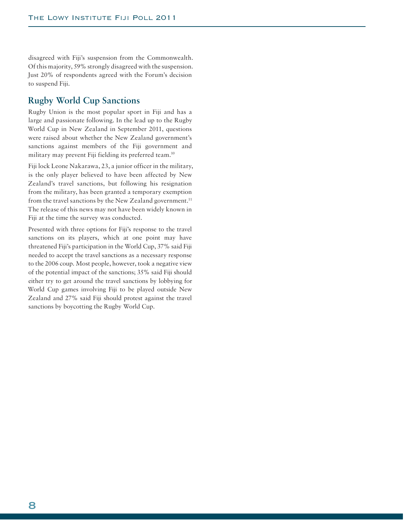disagreed with Fiji's suspension from the Commonwealth. Of this majority, 59% strongly disagreed with the suspension. Just 20% of respondents agreed with the Forum's decision to suspend Fiji.

# **Rugby World Cup Sanctions**

Rugby Union is the most popular sport in Fiji and has a large and passionate following. In the lead up to the Rugby World Cup in New Zealand in September 2011, questions were raised about whether the New Zealand government's sanctions against members of the Fiji government and military may prevent Fiji fielding its preferred team.<sup>10</sup>

Fiji lock Leone Nakarawa, 23, a junior officer in the military, is the only player believed to have been affected by New Zealand's travel sanctions, but following his resignation from the military, has been granted a temporary exemption from the travel sanctions by the New Zealand government.<sup>11</sup> The release of this news may not have been widely known in Fiji at the time the survey was conducted.

Presented with three options for Fiji's response to the travel sanctions on its players, which at one point may have threatened Fiji's participation in the World Cup, 37% said Fiji needed to accept the travel sanctions as a necessary response to the 2006 coup. Most people, however, took a negative view of the potential impact of the sanctions; 35% said Fiji should either try to get around the travel sanctions by lobbying for World Cup games involving Fiji to be played outside New Zealand and 27% said Fiji should protest against the travel sanctions by boycotting the Rugby World Cup.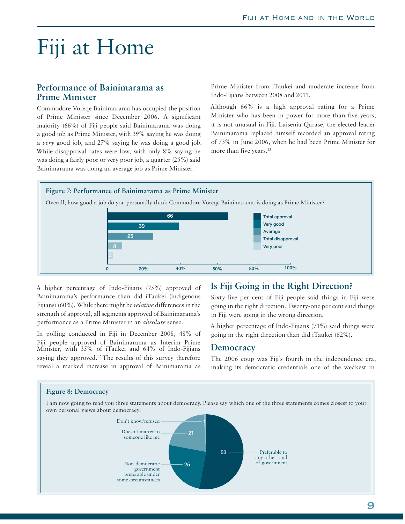# Fiji at Home

## **Performance of Bainimarama as Prime Minister**

Commodore Voreqe Bainimarama has occupied the position of Prime Minister since December 2006. A significant majority (66%) of Fiji people said Bainimarama was doing a good job as Prime Minister, with 39% saying he was doing a *very* good job, and 27% saying he was doing a good job. While disapproval rates were low, with only 8% saying he was doing a fairly poor or very poor job, a quarter (25%) said Bainimarama was doing an average job as Prime Minister.

Prime Minister from iTaukei and moderate increase from Indo-Fijians between 2008 and 2011.

Although 66% is a high approval rating for a Prime Minister who has been in power for more than five years, it is not unusual in Fiji. Laisenia Qarase, the elected leader Bainimarama replaced himself recorded an approval rating of 73% in June 2006, when he had been Prime Minister for more than five years.<sup>13</sup>



A higher percentage of Indo-Fijians (75%) approved of Bainimarama's performance than did iTaukei (indigenous Fijians) (60%). While there might be *relative* differences in the strength of approval, all segments approved of Bainimarama's performance as a Prime Minister in an *absolute* sense.

In polling conducted in Fiji in December 2008, 48% of Fiji people approved of Bainimarama as Interim Prime Minister, with 35% of iTaukei and 64% of Indo-Fijians saying they approved.<sup>12</sup> The results of this survey therefore reveal a marked increase in approval of Bainimarama as

# **Is Fiji Going in the Right Direction?**

Sixty-five per cent of Fiji people said things in Fiji were going in the right direction. Twenty-one per cent said things in Fiji were going in the wrong direction.

A higher percentage of Indo-Fijians (71%) said things were going in the right direction than did iTaukei (62%).

### **Democracy**

The 2006 coup was Fiji's fourth in the independence era, making its democratic credentials one of the weakest in

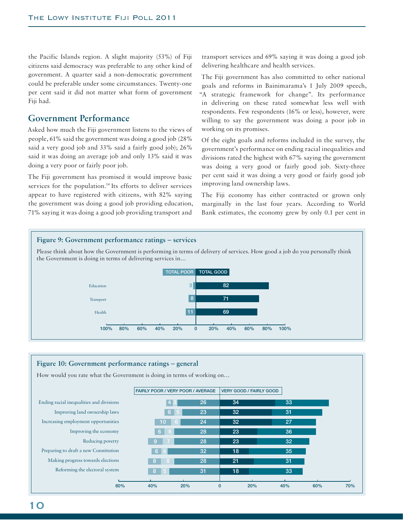the Pacific Islands region. A slight majority (53%) of Fiji citizens said democracy was preferable to any other kind of government. A quarter said a non-democratic government could be preferable under some circumstances. Twenty-one per cent said it did not matter what form of government Fiji had.

# **Government Performance**

Asked how much the Fiji government listens to the views of people, 61% said the government was doing a good job (28% said a very good job and 33% said a fairly good job); 26% said it was doing an average job and only 13% said it was doing a very poor or fairly poor job.

The Fiji government has promised it would improve basic services for the population.<sup>14</sup> Its efforts to deliver services appear to have registered with citizens, with 82% saying the government was doing a good job providing education, 71% saying it was doing a good job providing transport and

transport services and 69% saying it was doing a good job delivering healthcare and health services.

The Fiji government has also committed to other national goals and reforms in Bainimarama's 1 July 2009 speech, "A strategic framework for change". Its performance in delivering on these rated somewhat less well with respondents. Few respondents (16% or less), however, were willing to say the government was doing a poor job in working on its promises.

Of the eight goals and reforms included in the survey, the government's performance on ending racial inequalities and divisions rated the highest with 67% saying the government was doing a very good or fairly good job. Sixty-three per cent said it was doing a very good or fairly good job improving land ownership laws.

The Fiji economy has either contracted or grown only marginally in the last four years. According to World Bank estimates, the economy grew by only 0.1 per cent in



#### **Figure 10: Government performance ratings – general** How would you rate what the Government is doing in terms of working on… Ending racial inequalities and divisions Improving land ownership laws Increasing employment opportunities Improving the economy Reducing poverty Preparing to draft a new Constitution Making progress towards elections Reforming the electoral system **60% 40% 20% 0 20% 40% 60% 70% 23 23 18 34 32 32 18 21 32 36 35 33 31 27 33 31 28 28 32 26 23 24 31 28 9 7 6 6 6 4 4 3 6 5 10 6 8 8 FAIRLY POOR / VERY POOR / AVERAGE VERY GOOD / FAIRLY GOOD**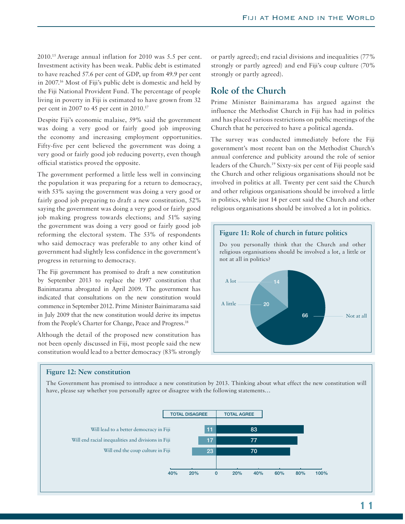2010.15 Average annual inflation for 2010 was 5.5 per cent. Investment activity has been weak. Public debt is estimated to have reached 57.6 per cent of GDP, up from 49.9 per cent in 2007.16 Most of Fiji's public debt is domestic and held by the Fiji National Provident Fund. The percentage of people living in poverty in Fiji is estimated to have grown from 32 per cent in 2007 to 45 per cent in 2010.17

Despite Fiji's economic malaise, 59% said the government was doing a very good or fairly good job improving the economy and increasing employment opportunities. Fifty-five per cent believed the government was doing a very good or fairly good job reducing poverty, even though official statistics proved the opposite.

The government performed a little less well in convincing the population it was preparing for a return to democracy, with 53% saying the government was doing a very good or fairly good job preparing to draft a new constitution, 52% saying the government was doing a very good or fairly good job making progress towards elections; and 51% saying the government was doing a very good or fairly good job reforming the electoral system. The 53% of respondents who said democracy was preferable to any other kind of government had slightly less confidence in the government's progress in returning to democracy.

The Fiji government has promised to draft a new constitution by September 2013 to replace the 1997 constitution that Bainimarama abrogated in April 2009. The government has indicated that consultations on the new constitution would commence in September 2012. Prime Minister Bainimarama said in July 2009 that the new constitution would derive its impetus from the People's Charter for Change, Peace and Progress.<sup>18</sup>

Although the detail of the proposed new constitution has not been openly discussed in Fiji, most people said the new constitution would lead to a better democracy (83% strongly or partly agreed); end racial divisions and inequalities (77% strongly or partly agreed) and end Fiji's coup culture (70% strongly or partly agreed).

# **Role of the Church**

Prime Minister Bainimarama has argued against the influence the Methodist Church in Fiji has had in politics and has placed various restrictions on public meetings of the Church that he perceived to have a political agenda.

The survey was conducted immediately before the Fiji government's most recent ban on the Methodist Church's annual conference and publicity around the role of senior leaders of the Church.19 Sixty-six per cent of Fiji people said the Church and other religious organisations should not be involved in politics at all. Twenty per cent said the Church and other religious organisations should be involved a little in politics, while just 14 per cent said the Church and other religious organisations should be involved a lot in politics.



### **Figure 12: New constitution**

The Government has promised to introduce a new constitution by 2013. Thinking about what effect the new constitution will have, please say whether you personally agree or disagree with the following statements…

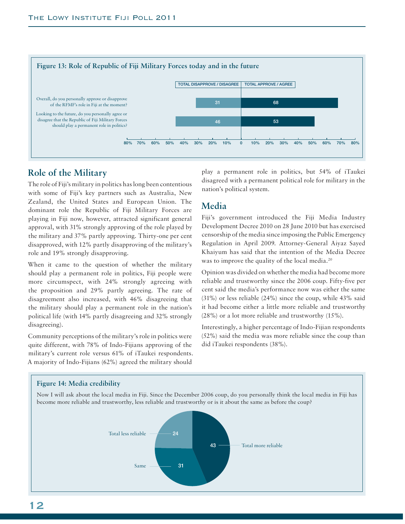

# **Role of the Military**

The role of Fiji's military in politics has long been contentious with some of Fiji's key partners such as Australia, New Zealand, the United States and European Union. The dominant role the Republic of Fiji Military Forces are playing in Fiji now, however, attracted significant general approval, with 31% strongly approving of the role played by the military and 37% partly approving. Thirty-one per cent disapproved, with 12% partly disapproving of the military's role and 19% strongly disapproving.

When it came to the question of whether the military should play a permanent role in politics, Fiji people were more circumspect, with 24% strongly agreeing with the proposition and 29% partly agreeing. The rate of disagreement also increased, with 46% disagreeing that the military should play a permanent role in the nation's political life (with 14% partly disagreeing and 32% strongly disagreeing).

Community perceptions of the military's role in politics were quite different, with 78% of Indo-Fijians approving of the military's current role versus 61% of iTaukei respondents. A majority of Indo-Fijians (62%) agreed the military should

play a permanent role in politics, but 54% of iTaukei disagreed with a permanent political role for military in the nation's political system.

# **Media**

Fiji's government introduced the Fiji Media Industry Development Decree 2010 on 28 June 2010 but has exercised censorship of the media since imposing the Public Emergency Regulation in April 2009. Attorney-General Aiyaz Sayed Khaiyum has said that the intention of the Media Decree was to improve the quality of the local media.<sup>20</sup>

Opinion was divided on whether the media had become more reliable and trustworthy since the 2006 coup. Fifty-five per cent said the media's performance now was either the same (31%) or less reliable (24%) since the coup, while 43% said it had become either a little more reliable and trustworthy (28%) or a lot more reliable and trustworthy (15%).

Interestingly, a higher percentage of Indo-Fijian respondents (52%) said the media was more reliable since the coup than did iTaukei respondents (38%).

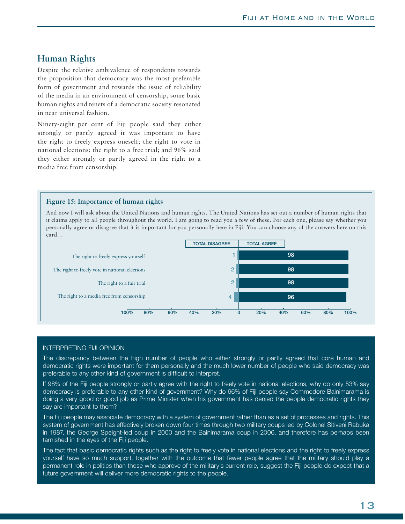## **Human Rights**

Despite the relative ambivalence of respondents towards the proposition that democracy was the most preferable form of government and towards the issue of reliability of the media in an environment of censorship, some basic human rights and tenets of a democratic society resonated in near universal fashion.

Ninety-eight per cent of Fiji people said they either strongly or partly agreed it was important to have the right to freely express oneself; the right to vote in national elections; the right to a free trial; and 96% said they either strongly or partly agreed in the right to a media free from censorship.

### **Figure 15: Importance of human rights**

And now I will ask about the United Nations and human rights. The United Nations has set out a number of human rights that it claims apply to all people throughout the world. I am going to read you a few of these. For each one, please say whether you personally agree or disagree that it is important for you personally here in Fiji. You can choose any of the answers here on this card…



### INTERPRETING FIJI OPINION

The discrepancy between the high number of people who either strongly or partly agreed that core human and democratic rights were important for them personally and the much lower number of people who said democracy was preferable to any other kind of government is difficult to interpret.

If 98% of the Fiji people strongly or partly agree with the right to freely vote in national elections, why do only 53% say democracy is preferable to any other kind of government? Why do 66% of Fiji people say Commodore Bainimarama is doing a very good or good job as Prime Minister when his government has denied the people democratic rights they say are important to them?

The Fiji people may associate democracy with a system of government rather than as a set of processes and rights. This system of government has effectively broken down four times through two military coups led by Colonel Sitiveni Rabuka in 1987, the George Speight-led coup in 2000 and the Bainimarama coup in 2006, and therefore has perhaps been tarnished in the eyes of the Fiji people.

The fact that basic democratic rights such as the right to freely vote in national elections and the right to freely express yourself have so much support, together with the outcome that fewer people agree that the military should play a permanent role in politics than those who approve of the military's current role, suggest the Fiji people do expect that a future government will deliver more democratic rights to the people.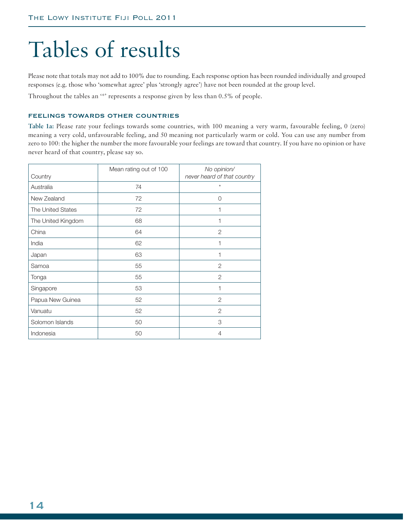# Tables of results

Please note that totals may not add to 100% due to rounding. Each response option has been rounded individually and grouped responses (e.g. those who 'somewhat agree' plus 'strongly agree') have not been rounded at the group level.

Throughout the tables an '\*' represents a response given by less than 0.5% of people.

### FEELINGS TOWARDS OTHER COUNTRIES

**Table 1a:** Please rate your feelings towards some countries, with 100 meaning a very warm, favourable feeling, 0 (zero) meaning a very cold, unfavourable feeling, and 50 meaning not particularly warm or cold. You can use any number from zero to 100: the higher the number the more favourable your feelings are toward that country. If you have no opinion or have never heard of that country, please say so.

| Country                  | Mean rating out of 100 | No opinion/<br>never heard of that country |
|--------------------------|------------------------|--------------------------------------------|
| Australia                | 74                     | $\star$                                    |
| New Zealand              | 72                     | $\Omega$                                   |
| <b>The United States</b> | 72                     | 1                                          |
| The United Kingdom       | 68                     | 1                                          |
| China                    | 64                     | 2                                          |
| India                    | 62                     | 1                                          |
| Japan                    | 63                     | 1                                          |
| Samoa                    | 55                     | 2                                          |
| Tonga                    | 55                     | $\overline{2}$                             |
| Singapore                | 53                     | 1                                          |
| Papua New Guinea         | 52                     | $\overline{2}$                             |
| Vanuatu                  | 52                     | $\overline{2}$                             |
| Solomon Islands          | 50                     | 3                                          |
| Indonesia                | 50                     | 4                                          |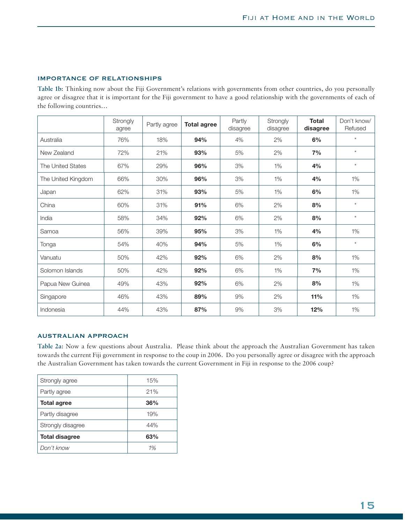### IMPORTANCE OF RELATIONSHIPS

**Table 1b:** Thinking now about the Fiji Government's relations with governments from other countries, do you personally agree or disagree that it is important for the Fiji government to have a good relationship with the governments of each of the following countries…

|                          | Strongly<br>agree | Partly agree | <b>Total agree</b> | Partly<br>disagree | Strongly<br>disagree | <b>Total</b><br>disagree | Don't know/<br>Refused |
|--------------------------|-------------------|--------------|--------------------|--------------------|----------------------|--------------------------|------------------------|
| Australia                | 76%               | 18%          | 94%                | 4%                 | 2%                   | 6%                       | $\star$                |
| New Zealand              | 72%               | 21%          | 93%                | 5%                 | 2%                   | 7%                       | $\star$                |
| <b>The United States</b> | 67%               | 29%          | 96%                | 3%                 | 1%                   | 4%                       | $\star$                |
| The United Kingdom       | 66%               | 30%          | 96%                | 3%                 | 1%                   | 4%                       | 1%                     |
| Japan                    | 62%               | 31%          | 93%                | 5%                 | 1%                   | 6%                       | 1%                     |
| China                    | 60%               | 31%          | 91%                | 6%                 | 2%                   | 8%                       | $\star$                |
| India                    | 58%               | 34%          | 92%                | 6%                 | 2%                   | 8%                       | $\star$                |
| Samoa                    | 56%               | 39%          | 95%                | 3%                 | 1%                   | 4%                       | 1%                     |
| Tonga                    | 54%               | 40%          | 94%                | 5%                 | 1%                   | 6%                       | $\star$                |
| Vanuatu                  | 50%               | 42%          | 92%                | 6%                 | 2%                   | 8%                       | 1%                     |
| Solomon Islands          | 50%               | 42%          | 92%                | 6%                 | 1%                   | 7%                       | 1%                     |
| Papua New Guinea         | 49%               | 43%          | 92%                | 6%                 | 2%                   | 8%                       | 1%                     |
| Singapore                | 46%               | 43%          | 89%                | 9%                 | 2%                   | 11%                      | 1%                     |
| Indonesia                | 44%               | 43%          | 87%                | 9%                 | 3%                   | 12%                      | 1%                     |

### AUSTRALIAN APPROACH

**Table 2a:** Now a few questions about Australia. Please think about the approach the Australian Government has taken towards the current Fiji government in response to the coup in 2006. Do you personally agree or disagree with the approach the Australian Government has taken towards the current Government in Fiji in response to the 2006 coup?

| Strongly agree        | 15% |
|-----------------------|-----|
| Partly agree          | 21% |
| <b>Total agree</b>    | 36% |
| Partly disagree       | 19% |
| Strongly disagree     | 44% |
| <b>Total disagree</b> | 63% |
| Don't know            | 1%  |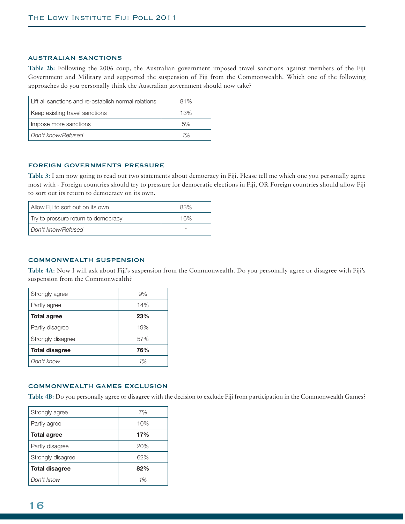### AUSTRALIAN SANCTIONS

**Table 2b:** Following the 2006 coup, the Australian government imposed travel sanctions against members of the Fiji Government and Military and supported the suspension of Fiji from the Commonwealth. Which one of the following approaches do you personally think the Australian government should now take?

| Lift all sanctions and re-establish normal relations | 81% |
|------------------------------------------------------|-----|
| Keep existing travel sanctions                       | 13% |
| Impose more sanctions                                | 5%  |
| Don't know/Refused                                   | 1%  |

### FOREIGN GOVERNMENTS PRESSURE

**Table 3:** I am now going to read out two statements about democracy in Fiji. Please tell me which one you personally agree most with - Foreign countries should try to pressure for democratic elections in Fiji, OR Foreign countries should allow Fiji to sort out its return to democracy on its own.

| Allow Fiji to sort out on its own   | 83% |
|-------------------------------------|-----|
| Try to pressure return to democracy | 16% |
| Don't know/Refused                  | ×   |

### COMMONWEALTH SUSPENSION

**Table 4A:** Now I will ask about Fiji's suspension from the Commonwealth. Do you personally agree or disagree with Fiji's suspension from the Commonwealth?

| Strongly agree        | 9%  |
|-----------------------|-----|
| Partly agree          | 14% |
| <b>Total agree</b>    | 23% |
| Partly disagree       | 19% |
| Strongly disagree     | 57% |
| <b>Total disagree</b> | 76% |
| Don't know            | 1%  |

### COMMONWEALTH GAMES EXCLUSION

**Table 4B:** Do you personally agree or disagree with the decision to exclude Fiji from participation in the Commonwealth Games?

| Strongly agree        | 7%  |
|-----------------------|-----|
| Partly agree          | 10% |
| <b>Total agree</b>    | 17% |
| Partly disagree       | 20% |
| Strongly disagree     | 62% |
| <b>Total disagree</b> | 82% |
| Don't know            | 1%  |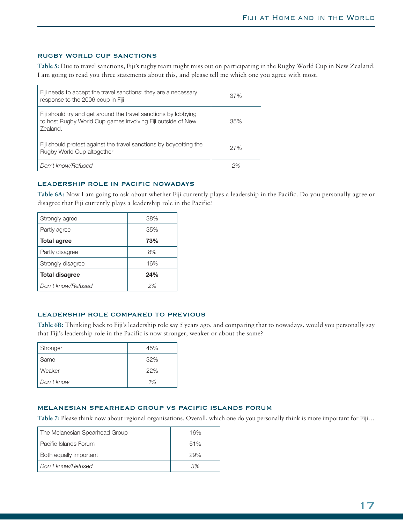### RUGBY WORLD CUP SANCTIONS

**Table 5:** Due to travel sanctions, Fiji's rugby team might miss out on participating in the Rugby World Cup in New Zealand. I am going to read you three statements about this, and please tell me which one you agree with most.

| Fiji needs to accept the travel sanctions; they are a necessary<br>response to the 2006 coup in Fiji                                       | 37% |
|--------------------------------------------------------------------------------------------------------------------------------------------|-----|
| Fiji should try and get around the travel sanctions by lobbying<br>to host Rugby World Cup games involving Fiji outside of New<br>Zealand. | 35% |
| Fiji should protest against the travel sanctions by boycotting the<br>Rugby World Cup altogether                                           | 27% |
| Don't know/Refused                                                                                                                         | 2%  |

### LEADERSHIP ROLE IN PACIFIC NOWADAYS

**Table 6A:** Now I am going to ask about whether Fiji currently plays a leadership in the Pacific. Do you personally agree or disagree that Fiji currently plays a leadership role in the Pacific?

| Strongly agree        | 38% |
|-----------------------|-----|
| Partly agree          | 35% |
| <b>Total agree</b>    | 73% |
| Partly disagree       | 8%  |
| Strongly disagree     | 16% |
| <b>Total disagree</b> | 24% |
| Don't know/Refused    | 2%  |

### LEADERSHIP ROLE COMPARED TO PREVIOUS

**Table 6B:** Thinking back to Fiji's leadership role say 5 years ago, and comparing that to nowadays, would you personally say that Fiji's leadership role in the Pacific is now stronger, weaker or about the same?

| Stronger   | 45% |
|------------|-----|
| Same       | 32% |
| Weaker     | 22% |
| Don't know | 1%  |

### MELANESIAN SPEARHEAD GROUP VS PACIFIC ISLANDS FORUM

**Table 7:** Please think now about regional organisations. Overall, which one do you personally think is more important for Fiji…

| The Melanesian Spearhead Group | 16% |
|--------------------------------|-----|
| Pacific Islands Forum          | 51% |
| Both equally important         | 29% |
| Don't know/Refused             | 3%. |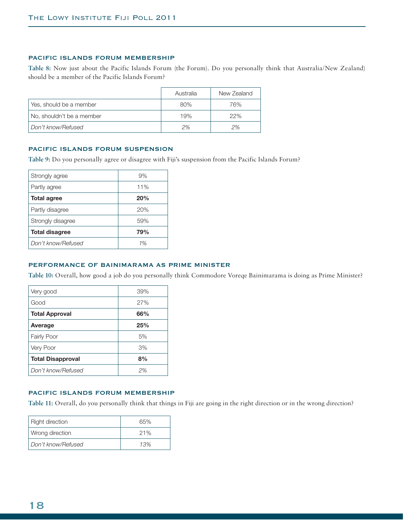### PACIFIC ISLANDS FORUM MEMBERSHIP

**Table 8:** Now just about the Pacific Islands Forum (the Forum). Do you personally think that Australia/New Zealand) should be a member of the Pacific Islands Forum?

|                           | Australia | New Zealand |
|---------------------------|-----------|-------------|
| Yes, should be a member   | 80%       | 76%         |
| No, shouldn't be a member | 19%       | 22%         |
| Don't know/Refused        | 2%        | 2%          |

### PACIFIC ISLANDS FORUM SUSPENSION

**Table 9:** Do you personally agree or disagree with Fiji's suspension from the Pacific Islands Forum?

| Strongly agree        | 9%  |
|-----------------------|-----|
| Partly agree          | 11% |
| <b>Total agree</b>    | 20% |
| Partly disagree       | 20% |
| Strongly disagree     | 59% |
| <b>Total disagree</b> | 79% |
| Don't know/Refused    | 1%  |

### PERFORMANCE OF BAINIMARAMA AS PRIME MINISTER

**Table 10:** Overall, how good a job do you personally think Commodore Voreqe Bainimarama is doing as Prime Minister?

| Very good                | 39% |
|--------------------------|-----|
| Good                     | 27% |
| <b>Total Approval</b>    | 66% |
| Average                  | 25% |
| <b>Fairly Poor</b>       | 5%  |
| Very Poor                | 3%  |
| <b>Total Disapproval</b> | 8%  |
| Don't know/Refused       | 2%  |

### PACIFIC ISLANDS FORUM MEMBERSHIP

**Table 11:** Overall, do you personally think that things in Fiji are going in the right direction or in the wrong direction?

| <b>Right direction</b> | 65% |
|------------------------|-----|
| Wrong direction        | 21% |
| Don't know/Refused     | 13% |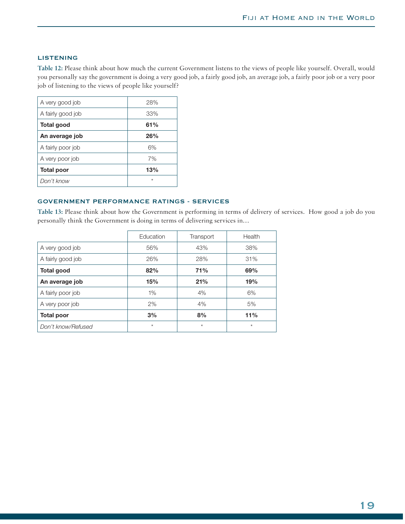### LISTENING

**Table 12:** Please think about how much the current Government listens to the views of people like yourself. Overall, would you personally say the government is doing a very good job, a fairly good job, an average job, a fairly poor job or a very poor job of listening to the views of people like yourself?

| A very good job   | 28%     |
|-------------------|---------|
| A fairly good job | 33%     |
| Total good        | 61%     |
| An average job    | 26%     |
| A fairly poor job | 6%      |
| A very poor job   | 7%      |
| <b>Total poor</b> | 13%     |
| Don't know        | $\star$ |

### GOVERNMENT PERFORMANCE RATINGS - SERVICES

**Table 13:** Please think about how the Government is performing in terms of delivery of services. How good a job do you personally think the Government is doing in terms of delivering services in…

|                    | Education | Transport | Health  |
|--------------------|-----------|-----------|---------|
| A very good job    | 56%       | 43%       | 38%     |
| A fairly good job  | 26%       | 28%       | 31%     |
| <b>Total good</b>  | 82%       | 71%       | 69%     |
| An average job     | 15%       | 21%       | 19%     |
| A fairly poor job  | $1\%$     | 4%        | 6%      |
| A very poor job    | 2%        | 4%        | 5%      |
| <b>Total poor</b>  | 3%        | 8%        | 11%     |
| Don't know/Refused | $\star$   | $\star$   | $\star$ |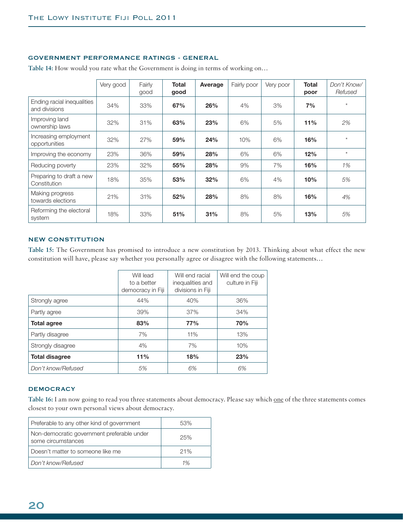### GOVERNMENT PERFORMANCE RATINGS - GENERAL

|                                             | Very good | Fairly<br>good | <b>Total</b><br>good | Average | Fairly poor | Very poor | <b>Total</b><br>poor | Don't Know/<br>Refused |
|---------------------------------------------|-----------|----------------|----------------------|---------|-------------|-----------|----------------------|------------------------|
| Ending racial inequalities<br>and divisions | 34%       | 33%            | 67%                  | 26%     | 4%          | 3%        | 7%                   | $\star$                |
| Improving land<br>ownership laws            | 32%       | 31%            | 63%                  | 23%     | 6%          | 5%        | 11%                  | 2%                     |
| Increasing employment<br>opportunities      | 32%       | 27%            | 59%                  | 24%     | 10%         | 6%        | 16%                  | $\star$                |
| Improving the economy                       | 23%       | 36%            | 59%                  | 28%     | 6%          | 6%        | 12%                  | $\star$                |
| Reducing poverty                            | 23%       | 32%            | 55%                  | 28%     | 9%          | 7%        | 16%                  | 1%                     |
| Preparing to draft a new<br>Constitution    | 18%       | 35%            | 53%                  | 32%     | 6%          | 4%        | 10%                  | 5%                     |
| Making progress<br>towards elections        | 21%       | 31%            | 52%                  | 28%     | 8%          | 8%        | 16%                  | 4%                     |
| Reforming the electoral<br>system           | 18%       | 33%            | 51%                  | 31%     | 8%          | 5%        | 13%                  | 5%                     |

**Table 14:** How would you rate what the Government is doing in terms of working on…

### NEW CONSTITUTION

**Table 15:** The Government has promised to introduce a new constitution by 2013. Thinking about what effect the new constitution will have, please say whether you personally agree or disagree with the following statements…

|                       | Will lead<br>to a better<br>democracy in Fiji | Will end racial<br>inequalities and<br>divisions in Fiji | Will end the coup<br>culture in Fiji |
|-----------------------|-----------------------------------------------|----------------------------------------------------------|--------------------------------------|
| Strongly agree        | 44%                                           | 40%                                                      | 36%                                  |
| Partly agree          | 39%                                           | 37%                                                      | 34%                                  |
| <b>Total agree</b>    | 83%                                           | 77%                                                      | 70%                                  |
| Partly disagree       | 7%                                            | 11%                                                      | 13%                                  |
| Strongly disagree     | 4%                                            | 7%                                                       | 10%                                  |
| <b>Total disagree</b> | 11%                                           | 18%                                                      | 23%                                  |
| Don't know/Refused    | 5%                                            | 6%                                                       | 6%                                   |

### **DEMOCRACY**

Table 16: I am now going to read you three statements about democracy. Please say which <u>one</u> of the three statements comes closest to your own personal views about democracy.

| Preferable to any other kind of government                       | 53% |
|------------------------------------------------------------------|-----|
| Non-democratic government preferable under<br>some circumstances | 25% |
| Doesn't matter to someone like me                                | 21% |
| Don't know/Refused                                               | 1%  |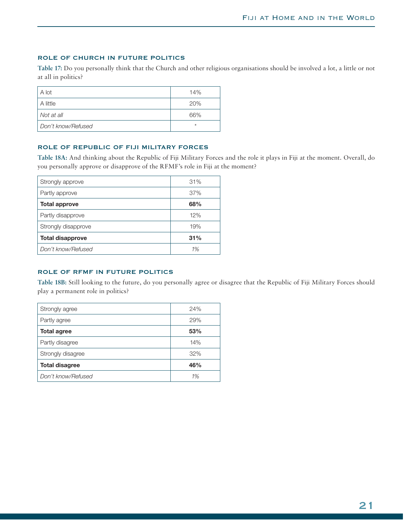### ROLE OF CHURCH IN FUTURE POLITICS

**Table 17:** Do you personally think that the Church and other religious organisations should be involved a lot, a little or not at all in politics?

| A lot              | 14%     |
|--------------------|---------|
| A little           | 20%     |
| Not at all         | 66%     |
| Don't know/Refused | $\star$ |

### ROLE OF REPUBLIC OF FIJI MILITARY FORCES

**Table 18A:** And thinking about the Republic of Fiji Military Forces and the role it plays in Fiji at the moment. Overall, do you personally approve or disapprove of the RFMF's role in Fiji at the moment?

| Strongly approve        | 31% |
|-------------------------|-----|
| Partly approve          | 37% |
| <b>Total approve</b>    | 68% |
| Partly disapprove       | 12% |
| Strongly disapprove     | 19% |
| <b>Total disapprove</b> | 31% |
| Don't know/Refused      | 1%  |

### ROLE OF RFMF IN FUTURE POLITICS

**Table 18B:** Still looking to the future, do you personally agree or disagree that the Republic of Fiji Military Forces should play a permanent role in politics?

| Strongly agree        | 24% |
|-----------------------|-----|
| Partly agree          | 29% |
| <b>Total agree</b>    | 53% |
| Partly disagree       | 14% |
| Strongly disagree     | 32% |
| <b>Total disagree</b> | 46% |
| Don't know/Refused    | 1%  |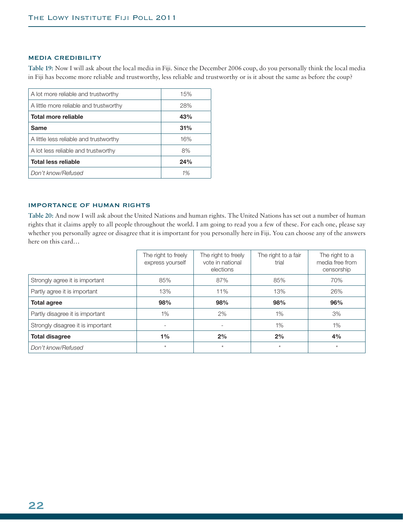### MEDIA CREDIBILITY

**Table 19:** Now I will ask about the local media in Fiji. Since the December 2006 coup, do you personally think the local media in Fiji has become more reliable and trustworthy, less reliable and trustworthy or is it about the same as before the coup?

| A lot more reliable and trustworthy    | 15% |
|----------------------------------------|-----|
| A little more reliable and trustworthy | 28% |
| Total more reliable                    | 43% |
| Same                                   | 31% |
| A little less reliable and trustworthy | 16% |
| A lot less reliable and trustworthy    | 8%  |
| <b>Total less reliable</b>             | 24% |
| Don't know/Refused                     | 1%  |

### IMPORTANCE OF HUMAN RIGHTS

**Table 20:** And now I will ask about the United Nations and human rights. The United Nations has set out a number of human rights that it claims apply to all people throughout the world. I am going to read you a few of these. For each one, please say whether you personally agree or disagree that it is important for you personally here in Fiji. You can choose any of the answers here on this card…

|                                   | The right to freely<br>express yourself | The right to freely<br>vote in national<br>elections | The right to a fair<br>trial | The right to a<br>media free from<br>censorship |
|-----------------------------------|-----------------------------------------|------------------------------------------------------|------------------------------|-------------------------------------------------|
| Strongly agree it is important    | 85%                                     | 87%                                                  | 85%                          | 70%                                             |
| Partly agree it is important      | 13%                                     | 11%                                                  | 13%                          | 26%                                             |
| <b>Total agree</b>                | 98%                                     | 98%                                                  | 98%                          | 96%                                             |
| Partly disagree it is important   | 1%                                      | 2%                                                   | 1%                           | 3%                                              |
| Strongly disagree it is important | $\overline{\phantom{0}}$                |                                                      | 1%                           | 1%                                              |
| <b>Total disagree</b>             | 1%                                      | 2%                                                   | 2%                           | 4%                                              |
| Don't know/Refused                | $\star$                                 | $\star$                                              | $\star$                      | $\ast$                                          |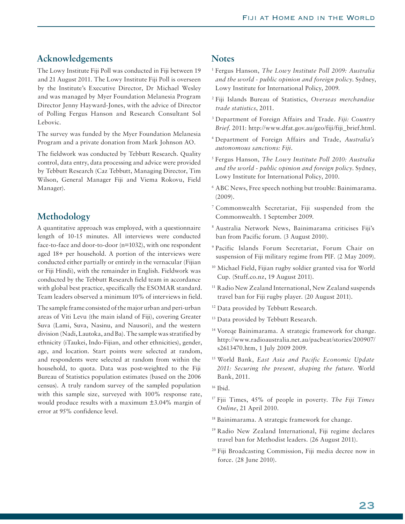## **Acknowledgements**

The Lowy Institute Fiji Poll was conducted in Fiji between 19 and 21 August 2011. The Lowy Institute Fiji Poll is overseen by the Institute's Executive Director, Dr Michael Wesley and was managed by Myer Foundation Melanesia Program Director Jenny Hayward-Jones, with the advice of Director of Polling Fergus Hanson and Research Consultant Sol Lebovic.

The survey was funded by the Myer Foundation Melanesia Program and a private donation from Mark Johnson AO.

The fieldwork was conducted by Tebbutt Research. Quality control, data entry, data processing and advice were provided by Tebbutt Research (Caz Tebbutt, Managing Director, Tim Wilson, General Manager Fiji and Viema Rokovu, Field Manager).

# **Methodology**

A quantitative approach was employed, with a questionnaire length of 10-15 minutes. All interviews were conducted face-to-face and door-to-door (n=1032), with one respondent aged 18+ per household. A portion of the interviews were conducted either partially or entirely in the vernacular (Fijian or Fiji Hindi), with the remainder in English. Fieldwork was conducted by the Tebbutt Research field team in accordance with global best practice, specifically the ESOMAR standard. Team leaders observed a minimum 10% of interviews in field.

The sample frame consisted of the major urban and peri-urban areas of Viti Levu (the main island of Fiji), covering Greater Suva (Lami, Suva, Nasinu, and Nausori), and the western division (Nadi, Lautoka, and Ba). The sample was stratified by ethnicity (iTaukei, Indo-Fijian, and other ethnicities), gender, age, and location. Start points were selected at random, and respondents were selected at random from within the household, to quota. Data was post-weighted to the Fiji Bureau of Statistics population estimates (based on the 2006 census). A truly random survey of the sampled population with this sample size, surveyed with 100% response rate, would produce results with a maximum ±3.04% margin of error at 95% confidence level.

# **Notes**

- 1 Fergus Hanson, *The Lowy Institute Poll 2009: Australia and the world - public opinion and foreign policy*. Sydney, Lowy Institute for International Policy, 2009.
- 2 Fiji Islands Bureau of Statistics, *Overseas merchandise trade statistics*, 2011.
- 3 Department of Foreign Affairs and Trade. *Fiji: Country Brief*. 2011: http://www.dfat.gov.au/geo/fiji/fiji\_brief.html.
- 4 Department of Foreign Affairs and Trade, *Australia's autonomous sanctions: Fiji*.
- 5 Fergus Hanson, *The Lowy Institute Poll 2010: Australia and the world - public opinion and foreign policy*. Sydney, Lowy Institute for International Policy, 2010.
- 6 ABC News, Free speech nothing but trouble: Bainimarama. (2009).
- 7 Commonwealth Secretariat, Fiji suspended from the Commonwealth. 1 September 2009.
- 8 Australia Network News, Bainimarama criticises Fiji's ban from Pacific forum. (3 August 2010).
- 9 Pacific Islands Forum Secretariat, Forum Chair on suspension of Fiji military regime from PIF. (2 May 2009).
- 10 Michael Field, Fijian rugby soldier granted visa for World Cup. (Stuff.co.nz, 19 August 2011).
- <sup>11</sup> Radio New Zealand International, New Zealand suspends travel ban for Fiji rugby player. (20 August 2011).
- <sup>12</sup> Data provided by Tebbutt Research.
- <sup>13</sup> Data provided by Tebbutt Research.
- 14 Voreqe Bainimarama. A strategic framework for change. http://www.radioaustralia.net.au/pacbeat/stories/200907/ s2613470.htm, 1 July 2009 2009.
- 15 World Bank, *East Asia and Pacific Economic Update 2011: Securing the present, shaping the future*. World Bank, 2011.
- $16$  Ibid.
- 17 Fjii Times, 45% of people in poverty. *The Fiji Times Online*, 21 April 2010.
- 18 Bainimarama. A strategic framework for change.
- 19 Radio New Zealand International, Fiji regime declares travel ban for Methodist leaders. (26 August 2011).
- 20 Fiji Broadcasting Commission, Fiji media decree now in force. (28 June 2010).